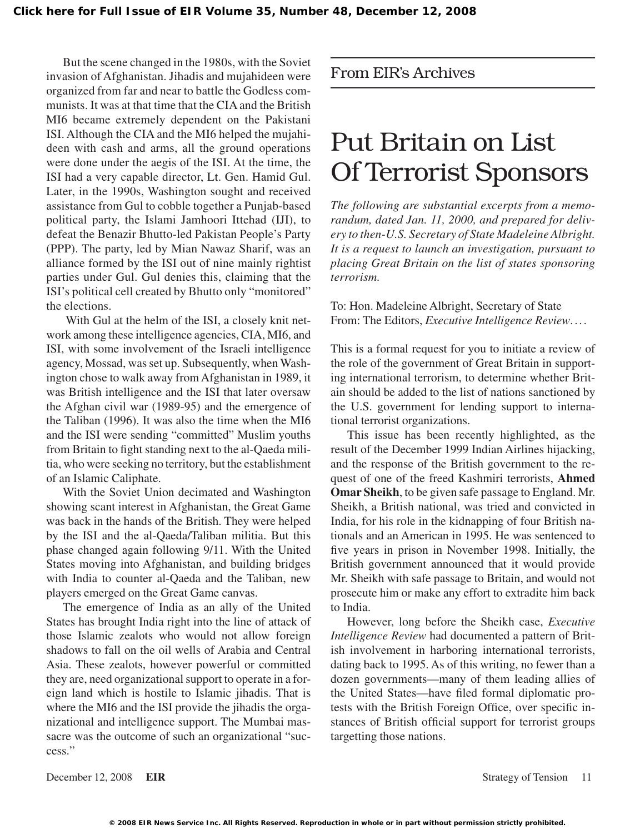But the scene changed in the 1980s, with the Soviet invasion of Afghanistan. Jihadis and mujahideen were organized from far and near to battle the Godless communists. It was at that time that the CIA and the British MI6 became extremely dependent on the Pakistani ISI. Although the CIA and the MI6 helped the mujahideen with cash and arms, all the ground operations were done under the aegis of the ISI. At the time, the ISI had a very capable director, Lt. Gen. Hamid Gul. Later, in the 1990s, Washington sought and received assistance from Gul to cobble together a Punjab-based political party, the Islami Jamhoori Ittehad (IJI), to defeat the Benazir Bhutto-led Pakistan People's Party (PPP). The party, led by Mian Nawaz Sharif, was an alliance formed by the ISI out of nine mainly rightist parties under Gul. Gul denies this, claiming that the ISI's political cell created by Bhutto only "monitored" the elections.

With Gul at the helm of the ISI, a closely knit network among these intelligence agencies, CIA, MI6, and ISI, with some involvement of the Israeli intelligence agency, Mossad, was set up. Subsequently, when Washington chose to walk away fromAfghanistan in 1989, it was British intelligence and the ISI that later oversaw the Afghan civil war (1989-95) and the emergence of the Taliban (1996). It was also the time when the MI6 and the ISI were sending "committed" Muslim youths from Britain to fight standing next to the al-Qaeda militia, who were seeking no territory, but the establishment of an Islamic Caliphate.

With the Soviet Union decimated and Washington showing scant interest in Afghanistan, the Great Game was back in the hands of the British. They were helped by the ISI and the al-Qaeda/Taliban militia. But this phase changed again following 9/11. With the United States moving into Afghanistan, and building bridges with India to counter al-Qaeda and the Taliban, new players emerged on the Great Game canvas.

The emergence of India as an ally of the United States has brought India right into the line of attack of those Islamic zealots who would not allow foreign shadows to fall on the oil wells of Arabia and Central Asia. These zealots, however powerful or committed they are, need organizational support to operate in a foreign land which is hostile to Islamic jihadis. That is where the MI6 and the ISI provide the jihadis the organizational and intelligence support. The Mumbai massacre was the outcome of such an organizational "success."

## From EIR's Archives

# Put Britain on List Of Terrorist Sponsors

*The following are substantial excerpts from a memorandum, dated Jan. 11, 2000, and prepared for delivery to then-U.S. Secretary of State Madeleine Albright. It is a request to launch an investigation, pursuant to placing Great Britain on the list of states sponsoring terrorism.*

To: Hon. Madeleine Albright, Secretary of State From: The Editors, *Executive Intelligence Review*. ...

This is a formal request for you to initiate a review of the role of the government of Great Britain in supporting international terrorism, to determine whether Britain should be added to the list of nations sanctioned by the U.S. government for lending support to international terrorist organizations.

This issue has been recently highlighted, as the result of the December 1999 Indian Airlines hijacking, and the response of the British government to the request of one of the freed Kashmiri terrorists, **Ahmed Omar Sheikh**, to be given safe passage to England. Mr. Sheikh, a British national, was tried and convicted in India, for his role in the kidnapping of four British nationals and an American in 1995. He was sentenced to five years in prison in November 1998. Initially, the British government announced that it would provide Mr. Sheikh with safe passage to Britain, and would not prosecute him or make any effort to extradite him back to India.

However, long before the Sheikh case, *Executive Intelligence Review* had documented a pattern of British involvement in harboring international terrorists, dating back to 1995. As of this writing, no fewer than a dozen governments—many of them leading allies of the United States—have filed formal diplomatic protests with the British Foreign Office, over specific instances of British official support for terrorist groups targetting those nations.

December 12, 2008 **EIR** Strategy of Tension 11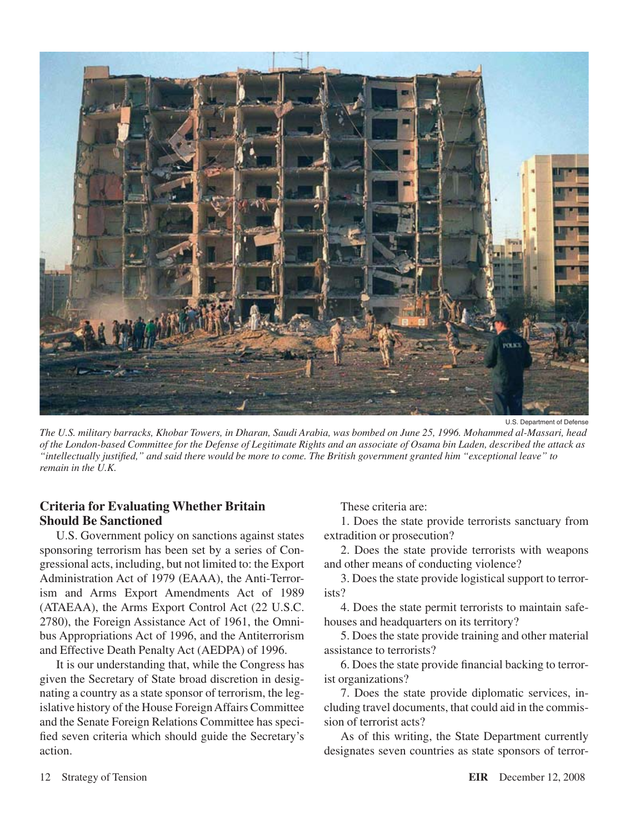

U.S. Department of Defense

*The U.S. military barracks, Khobar Towers, in Dharan, Saudi Arabia, was bombed on June 25, 1996. Mohammed al-Massari, head of the London-based Committee for the Defense of Legitimate Rights and an associate of Osama bin Laden, described the attack as "intellectually justified," and said there would be more to come. The British government granted him "exceptional leave" to remain in the U.K.*

## **Criteria for Evaluating Whether Britain Should Be Sanctioned**

U.S. Government policy on sanctions against states sponsoring terrorism has been set by a series of Congressional acts, including, but not limited to: the Export Administration Act of 1979 (EAAA), the Anti-Terrorism and Arms Export Amendments Act of 1989 (ATAEAA), the Arms Export Control Act (22 U.S.C. 2780), the Foreign Assistance Act of 1961, the Omnibus Appropriations Act of 1996, and the Antiterrorism and Effective Death Penalty Act (AEDPA) of 1996.

It is our understanding that, while the Congress has given the Secretary of State broad discretion in designating a country as a state sponsor of terrorism, the legislative history of the House ForeignAffairs Committee and the Senate Foreign Relations Committee has specified seven criteria which should guide the Secretary's action.

These criteria are:

1. Does the state provide terrorists sanctuary from extradition or prosecution?

2. Does the state provide terrorists with weapons and other means of conducting violence?

3. Does the state provide logistical support to terrorists?

4. Does the state permit terrorists to maintain safehouses and headquarters on its territory?

5. Does the state provide training and other material assistance to terrorists?

6. Does the state provide financial backing to terrorist organizations?

7. Does the state provide diplomatic services, including travel documents, that could aid in the commission of terrorist acts?

As of this writing, the State Department currently designates seven countries as state sponsors of terror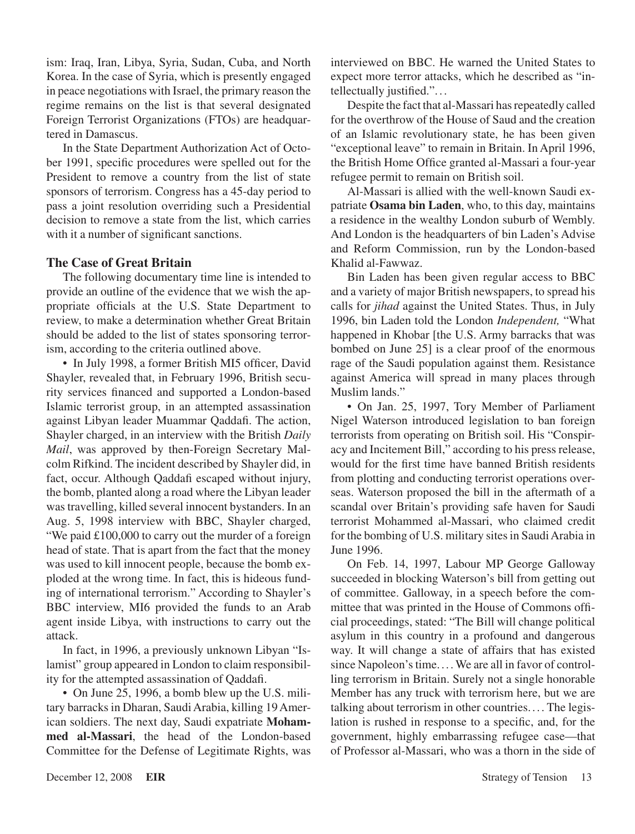ism: Iraq, Iran, Libya, Syria, Sudan, Cuba, and North Korea. In the case of Syria, which is presently engaged in peace negotiations with Israel, the primary reason the regime remains on the list is that several designated Foreign Terrorist Organizations (FTOs) are headquartered in Damascus.

In the State Department Authorization Act of October 1991, specific procedures were spelled out for the President to remove a country from the list of state sponsors of terrorism. Congress has a 45-day period to pass a joint resolution overriding such a Presidential decision to remove a state from the list, which carries with it a number of significant sanctions.

### **The Case of Great Britain**

The following documentary time line is intended to provide an outline of the evidence that we wish the appropriate officials at the U.S. State Department to review, to make a determination whether Great Britain should be added to the list of states sponsoring terrorism, according to the criteria outlined above.

• In July 1998, a former British MI5 officer, David Shayler, revealed that, in February 1996, British security services financed and supported a London-based Islamic terrorist group, in an attempted assassination against Libyan leader Muammar Qaddafi. The action, Shayler charged, in an interview with the British *Daily Mail*, was approved by then-Foreign Secretary Malcolm Rifkind. The incident described by Shayler did, in fact, occur. Although Qaddafi escaped without injury, the bomb, planted along a road where the Libyan leader wastravelling, killed several innocent bystanders. In an Aug. 5, 1998 interview with BBC, Shayler charged, "We paid £100,000 to carry out the murder of a foreign head of state. That is apart from the fact that the money was used to kill innocent people, because the bomb exploded at the wrong time. In fact, this is hideous funding of international terrorism." According to Shayler's BBC interview, MI6 provided the funds to an Arab agent inside Libya, with instructions to carry out the attack.

In fact, in 1996, a previously unknown Libyan "Islamist" group appeared in London to claim responsibility for the attempted assassination of Qaddafi.

• On June 25, 1996, a bomb blew up the U.S. military barracks in Dharan, SaudiArabia, killing 19American soldiers. The next day, Saudi expatriate **Mohammed al-Massari**, the head of the London-based Committee for the Defense of Legitimate Rights, was interviewed on BBC. He warned the United States to expect more terror attacks, which he described as "intellectually justified.". . .

Despite the fact that al-Massari has repeatedly called for the overthrow of the House of Saud and the creation of an Islamic revolutionary state, he has been given "exceptional leave" to remain in Britain. In April 1996, the British Home Office granted al-Massari a four-year refugee permit to remain on British soil.

Al-Massari is allied with the well-known Saudi expatriate **Osama bin Laden**, who, to this day, maintains a residence in the wealthy London suburb of Wembly. And London is the headquarters of bin Laden's Advise and Reform Commission, run by the London-based Khalid al-Fawwaz.

Bin Laden has been given regular access to BBC and a variety of major British newspapers, to spread his calls for *jihad* against the United States. Thus, in July 1996, bin Laden told the London *Independent,* "What happened in Khobar [the U.S. Army barracks that was bombed on June 25] is a clear proof of the enormous rage of the Saudi population against them. Resistance against America will spread in many places through Muslim lands."

• On Jan. 25, 1997, Tory Member of Parliament Nigel Waterson introduced legislation to ban foreign terrorists from operating on British soil. His "Conspiracy and Incitement Bill," according to his pressrelease, would for the first time have banned British residents from plotting and conducting terrorist operations overseas. Waterson proposed the bill in the aftermath of a scandal over Britain's providing safe haven for Saudi terrorist Mohammed al-Massari, who claimed credit for the bombing of U.S. military sites in Saudi Arabia in June 1996.

On Feb. 14, 1997, Labour MP George Galloway succeeded in blocking Waterson's bill from getting out of committee. Galloway, in a speech before the committee that was printed in the House of Commons official proceedings, stated: "The Bill will change political asylum in this country in a profound and dangerous way. It will change a state of affairs that has existed since Napoleon's time.... We are all in favor of controlling terrorism in Britain. Surely not a single honorable Member has any truck with terrorism here, but we are talking about terrorism in other countries. . . . The legislation is rushed in response to a specific, and, for the government, highly embarrassing refugee case—that of Professor al-Massari, who was a thorn in the side of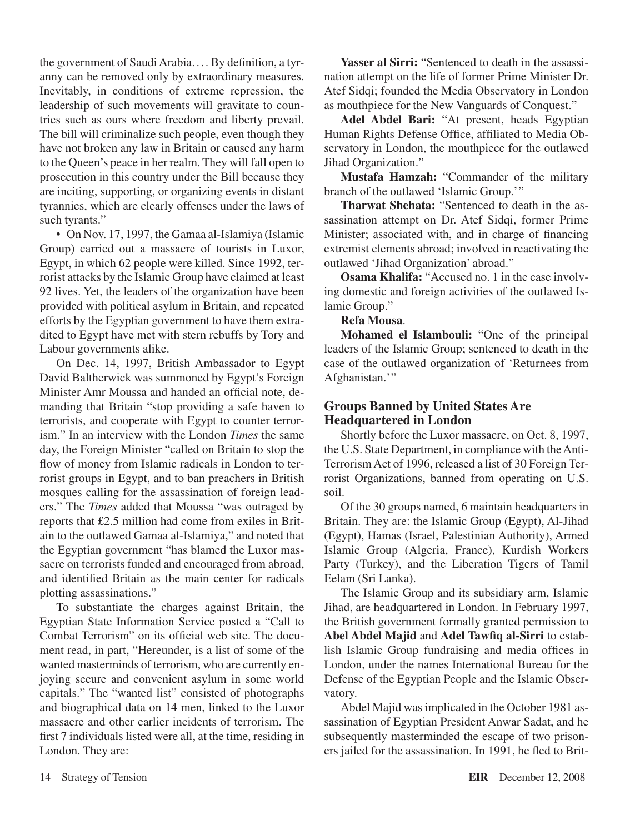the government of Saudi Arabia.... By definition, a tyranny can be removed only by extraordinary measures. Inevitably, in conditions of extreme repression, the leadership of such movements will gravitate to countries such as ours where freedom and liberty prevail. The bill will criminalize such people, even though they have not broken any law in Britain or caused any harm to the Queen's peace in her realm. They will fall open to prosecution in this country under the Bill because they are inciting, supporting, or organizing events in distant tyrannies, which are clearly offenses under the laws of such tyrants."

• On Nov. 17, 1997, the Gamaa al-Islamiya (Islamic Group) carried out a massacre of tourists in Luxor, Egypt, in which 62 people were killed. Since 1992, terrorist attacks by the Islamic Group have claimed at least 92 lives. Yet, the leaders of the organization have been provided with political asylum in Britain, and repeated efforts by the Egyptian government to have them extradited to Egypt have met with stern rebuffs by Tory and Labour governments alike.

On Dec. 14, 1997, British Ambassador to Egypt David Baltherwick was summoned by Egypt's Foreign Minister Amr Moussa and handed an official note, demanding that Britain "stop providing a safe haven to terrorists, and cooperate with Egypt to counter terrorism." In an interview with the London *Times* the same day, the Foreign Minister "called on Britain to stop the flow of money from Islamic radicals in London to terrorist groups in Egypt, and to ban preachers in British mosques calling for the assassination of foreign leaders." The *Times* added that Moussa "was outraged by reports that £2.5 million had come from exiles in Britain to the outlawed Gamaa al-Islamiya," and noted that the Egyptian government "has blamed the Luxor massacre on terrorists funded and encouraged from abroad, and identified Britain as the main center for radicals plotting assassinations."

To substantiate the charges against Britain, the Egyptian State Information Service posted a "Call to Combat Terrorism" on its official web site. The document read, in part, "Hereunder, is a list of some of the wanted masterminds of terrorism, who are currently enjoying secure and convenient asylum in some world capitals." The "wanted list" consisted of photographs and biographical data on 14 men, linked to the Luxor massacre and other earlier incidents of terrorism. The first 7 individuals listed were all, at the time, residing in London. They are:

**Yasser al Sirri:** "Sentenced to death in the assassination attempt on the life of former Prime Minister Dr. Atef Sidqi; founded the Media Observatory in London as mouthpiece for the New Vanguards of Conquest."

**Adel Abdel Bari:** "At present, heads Egyptian Human Rights Defense Office, affiliated to Media Observatory in London, the mouthpiece for the outlawed Jihad Organization."

**Mustafa Hamzah:** "Commander of the military branch of the outlawed 'Islamic Group.'"

**Tharwat Shehata:** "Sentenced to death in the assassination attempt on Dr. Atef Sidqi, former Prime Minister; associated with, and in charge of financing extremist elements abroad; involved in reactivating the outlawed 'Jihad Organization' abroad."

**Osama Khalifa:** "Accused no. 1 in the case involving domestic and foreign activities of the outlawed Islamic Group."

### **Refa Mousa**.

**Mohamed el Islambouli:** "One of the principal leaders of the Islamic Group; sentenced to death in the case of the outlawed organization of 'Returnees from Afghanistan."

## **Groups Banned by United States Are Headquartered in London**

Shortly before the Luxor massacre, on Oct. 8, 1997, the U.S. State Department, in compliance with the Anti-TerrorismAct of 1996, released a list of 30 Foreign Terrorist Organizations, banned from operating on U.S. soil.

Of the 30 groups named, 6 maintain headquarters in Britain. They are: the Islamic Group (Egypt), Al-Jihad (Egypt), Hamas (Israel, Palestinian Authority), Armed Islamic Group (Algeria, France), Kurdish Workers Party (Turkey), and the Liberation Tigers of Tamil Eelam (Sri Lanka).

The Islamic Group and its subsidiary arm, Islamic Jihad, are headquartered in London. In February 1997, the British government formally granted permission to **Abel Abdel Majid** and **Adel Tawfiq al-Sirri** to establish Islamic Group fundraising and media offices in London, under the names International Bureau for the Defense of the Egyptian People and the Islamic Observatory.

Abdel Majid wasimplicated in the October 1981 assassination of Egyptian President Anwar Sadat, and he subsequently masterminded the escape of two prisoners jailed for the assassination. In 1991, he fled to Brit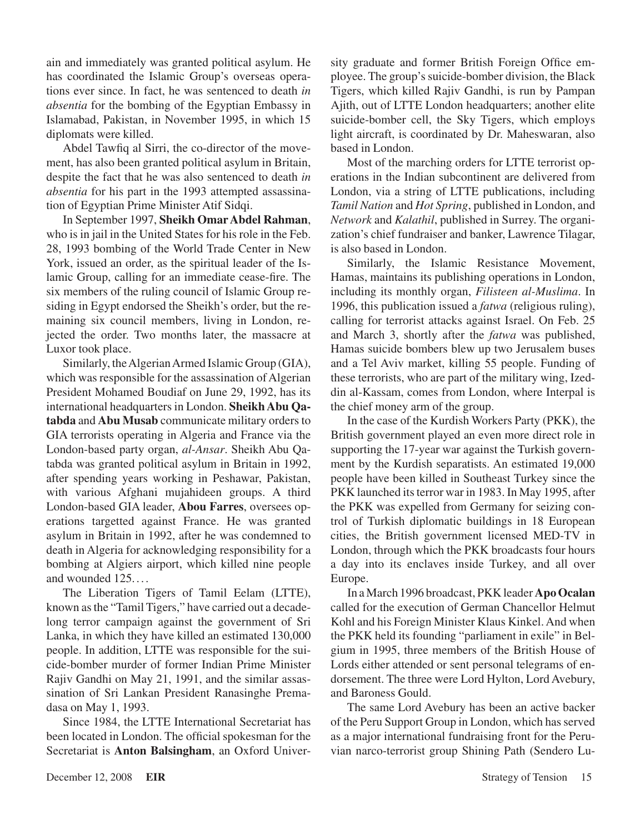ain and immediately was granted political asylum. He has coordinated the Islamic Group's overseas operations ever since. In fact, he was sentenced to death *in absentia* for the bombing of the Egyptian Embassy in Islamabad, Pakistan, in November 1995, in which 15 diplomats were killed.

Abdel Tawfiq al Sirri, the co-director of the movement, has also been granted political asylum in Britain, despite the fact that he was also sentenced to death *in absentia* for his part in the 1993 attempted assassination of Egyptian Prime Minister Atif Sidqi.

In September 1997, **Sheikh Omar Abdel Rahman**, who is in jail in the United States for his role in the Feb. 28, 1993 bombing of the World Trade Center in New York, issued an order, as the spiritual leader of the Islamic Group, calling for an immediate cease-fire. The six members of the ruling council of Islamic Group residing in Egypt endorsed the Sheikh's order, but the remaining six council members, living in London, rejected the order. Two months later, the massacre at Luxor took place.

Similarly, the Algerian Armed Islamic Group (GIA), which was responsible for the assassination of Algerian President Mohamed Boudiaf on June 29, 1992, has its international headquarters in London. **Sheikh Abu Qa**tabda and Abu Musab communicate military orders to GIA terrorists operating in Algeria and France via the London-based party organ, *al-Ansar*. Sheikh Abu Qatabda was granted political asylum in Britain in 1992, after spending years working in Peshawar, Pakistan, with various Afghani mujahideen groups. A third London-based GIA leader, **Abou Farres**, oversees operations targetted against France. He was granted asylum in Britain in 1992, after he was condemned to death in Algeria for acknowledging responsibility for a bombing at Algiers airport, which killed nine people and wounded 125. . . .

The Liberation Tigers of Tamil Eelam (LTTE), known asthe "Tamil Tigers," have carried out a decadelong terror campaign against the government of Sri Lanka, in which they have killed an estimated 130,000 people. In addition, LTTE was responsible for the suicide-bomber murder of former Indian Prime Minister Rajiv Gandhi on May 21, 1991, and the similar assassination of Sri Lankan President Ranasinghe Premadasa on May 1, 1993.

Since 1984, the LTTE International Secretariat has been located in London. The official spokesman for the Secretariat is **Anton Balsingham**, an Oxford University graduate and former British Foreign Office employee. The group's suicide-bomber division, the Black Tigers, which killed Rajiv Gandhi, is run by Pampan Ajith, out of LTTE London headquarters; another elite suicide-bomber cell, the Sky Tigers, which employs light aircraft, is coordinated by Dr. Maheswaran, also based in London.

Most of the marching orders for LTTE terrorist operations in the Indian subcontinent are delivered from London, via a string of LTTE publications, including *Tamil Nation* and *Hot Spring*, published in London, and *Network* and *Kalathil*, published in Surrey. The organization's chief fundraiser and banker, Lawrence Tilagar, is also based in London.

Similarly, the Islamic Resistance Movement, Hamas, maintains its publishing operations in London, including its monthly organ, *Filisteen al-Muslima*. In 1996, this publication issued a *fatwa* (religious ruling), calling for terrorist attacks against Israel. On Feb. 25 and March 3, shortly after the *fatwa* was published, Hamas suicide bombers blew up two Jerusalem buses and a Tel Aviv market, killing 55 people. Funding of these terrorists, who are part of the military wing, Izeddin al-Kassam, comes from London, where Interpal is the chief money arm of the group.

In the case of the Kurdish Workers Party (PKK), the British government played an even more direct role in supporting the 17-year war against the Turkish government by the Kurdish separatists. An estimated 19,000 people have been killed in Southeast Turkey since the PKK launched its terror war in 1983. In May 1995, after the PKK was expelled from Germany for seizing control of Turkish diplomatic buildings in 18 European cities, the British government licensed MED-TV in London, through which the PKK broadcasts four hours a day into its enclaves inside Turkey, and all over Europe.

In a March 1996 broadcast, PKK leader **Apo Ocalan** called for the execution of German Chancellor Helmut Kohl and his Foreign Minister Klaus Kinkel.And when the PKK held its founding "parliament in exile" in Belgium in 1995, three members of the British House of Lords either attended or sent personal telegrams of endorsement. The three were Lord Hylton, Lord Avebury, and Baroness Gould.

The same Lord Avebury has been an active backer of the Peru Support Group in London, which has served as a major international fundraising front for the Peruvian narco-terrorist group Shining Path (Sendero Lu-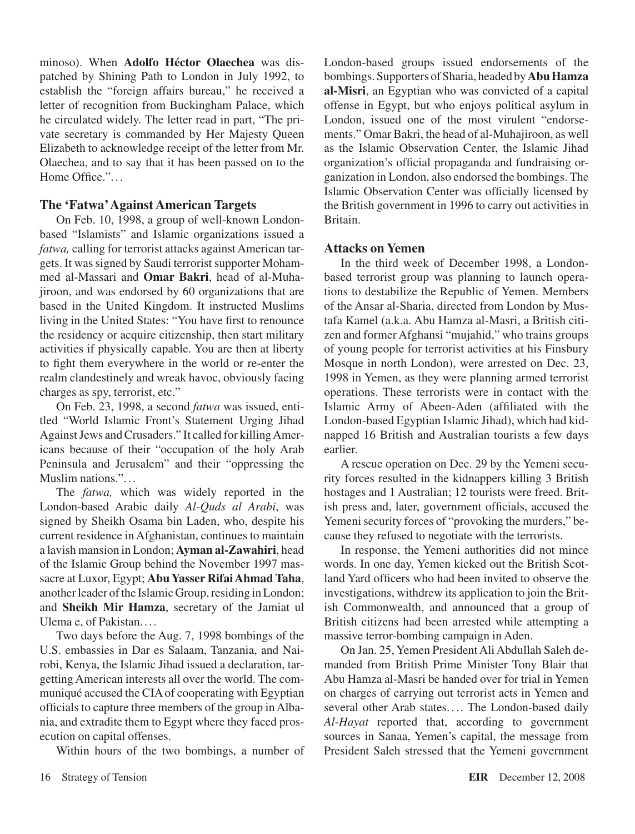minoso). When **Adolfo Héctor Olaechea** was dispatched by Shining Path to London in July 1992, to establish the "foreign affairs bureau," he received a letter of recognition from Buckingham Palace, which he circulated widely. The letter read in part, "The private secretary is commanded by Her Majesty Queen Elizabeth to acknowledge receipt of the letter from Mr. Olaechea, and to say that it has been passed on to the Home Office."...

## **The 'Fatwa' Against American Targets**

On Feb. 10, 1998, a group of well-known Londonbased "Islamists" and Islamic organizations issued a *fatwa,* calling for terrorist attacks against American targets. It was signed by Saudi terrorist supporter Mohammed al-Massari and **Omar Bakri**, head of al-Muhajiroon, and was endorsed by 60 organizations that are based in the United Kingdom. It instructed Muslims living in the United States: "You have first to renounce the residency or acquire citizenship, then start military activities if physically capable. You are then at liberty to fight them everywhere in the world or re-enter the realm clandestinely and wreak havoc, obviously facing charges as spy, terrorist, etc."

On Feb. 23, 1998, a second *fatwa* was issued, entitled "World Islamic Front's Statement Urging Jihad Against Jews and Crusaders." It called for killing Americans because of their "occupation of the holy Arab Peninsula and Jerusalem" and their "oppressing the Muslim nations.".. .

The *fatwa,* which was widely reported in the London-based Arabic daily *Al-Quds al Arabi*, was signed by Sheikh Osama bin Laden, who, despite his current residence in Afghanistan, continues to maintain a lavish mansion in London; **Ayman al-Zawahiri**, head of the Islamic Group behind the November 1997 massacre at Luxor, Egypt; **Abu Yasser Rifai Ahmad Taha**, another leader of the Islamic Group, residing in London; and **Sheikh Mir Hamza**, secretary of the Jamiat ul Ulema e, of Pakistan. ...

Two days before the Aug. 7, 1998 bombings of the U.S. embassies in Dar es Salaam, Tanzania, and Nairobi, Kenya, the Islamic Jihad issued a declaration, targetting American interests all over the world. The communiqué accused the CIAof cooperating with Egyptian officials to capture three members of the group in Albania, and extradite them to Egypt where they faced prosecution on capital offenses.

Within hours of the two bombings, a number of

London-based groups issued endorsements of the bombings.Supporters ofSharia, headed by**Abu Hamza al-Misri**, an Egyptian who was convicted of a capital offense in Egypt, but who enjoys political asylum in London, issued one of the most virulent "endorsements." Omar Bakri, the head of al-Muhajiroon, as well as the Islamic Observation Center, the Islamic Jihad organization's official propaganda and fundraising organization in London, also endorsed the bombings. The Islamic Observation Center was officially licensed by the British government in 1996 to carry out activities in Britain.

#### **Attacks on Yemen**

In the third week of December 1998, a Londonbased terrorist group was planning to launch operations to destabilize the Republic of Yemen. Members of the Ansar al-Sharia, directed from London by Mustafa Kamel (a.k.a. Abu Hamza al-Masri, a British citizen and former Afghansi "mujahid," who trains groups of young people for terrorist activities at his Finsbury Mosque in north London), were arrested on Dec. 23, 1998 in Yemen, as they were planning armed terrorist operations. These terrorists were in contact with the Islamic Army of Abeen-Aden (affiliated with the London-based Egyptian Islamic Jihad), which had kidnapped 16 British and Australian tourists a few days earlier.

A rescue operation on Dec. 29 by the Yemeni security forces resulted in the kidnappers killing 3 British hostages and 1 Australian; 12 tourists were freed. British press and, later, government officials, accused the Yemeni security forces of "provoking the murders," because they refused to negotiate with the terrorists.

In response, the Yemeni authorities did not mince words. In one day, Yemen kicked out the British Scotland Yard officers who had been invited to observe the investigations, withdrew its application to join the British Commonwealth, and announced that a group of British citizens had been arrested while attempting a massive terror-bombing campaign in Aden.

On Jan. 25, Yemen President Ali Abdullah Saleh demanded from British Prime Minister Tony Blair that Abu Hamza al-Masri be handed over for trial in Yemen on charges of carrying out terrorist acts in Yemen and several other Arab states.... The London-based daily *Al-Hayat* reported that, according to government sources in Sanaa, Yemen's capital, the message from President Saleh stressed that the Yemeni government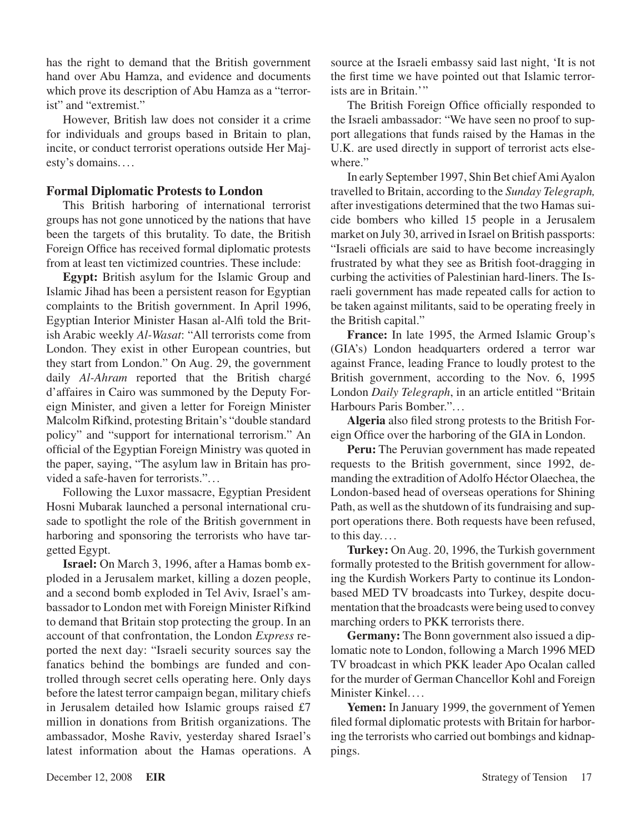has the right to demand that the British government hand over Abu Hamza, and evidence and documents which prove its description of Abu Hamza as a "terrorist" and "extremist."

However, British law does not consider it a crime for individuals and groups based in Britain to plan, incite, or conduct terrorist operations outside Her Majesty's domains.. . .

### **Formal Diplomatic Protests to London**

This British harboring of international terrorist groups has not gone unnoticed by the nations that have been the targets of this brutality. To date, the British Foreign Office has received formal diplomatic protests from at least ten victimized countries. These include:

**Egypt:** British asylum for the Islamic Group and Islamic Jihad has been a persistent reason for Egyptian complaints to the British government. In April 1996, Egyptian Interior Minister Hasan al-Alfi told the British Arabic weekly *Al-Wasat*: "All terrorists come from London. They exist in other European countries, but they start from London." On Aug. 29, the government daily *Al-Ahram* reported that the British chargé d'affaires in Cairo was summoned by the Deputy Foreign Minister, and given a letter for Foreign Minister Malcolm Rifkind, protesting Britain's "double standard policy" and "support for international terrorism." An official of the Egyptian Foreign Ministry was quoted in the paper, saying, "The asylum law in Britain has provided a safe-haven for terrorists.". . .

Following the Luxor massacre, Egyptian President Hosni Mubarak launched a personal international crusade to spotlight the role of the British government in harboring and sponsoring the terrorists who have targetted Egypt.

**Israel:** On March 3, 1996, after a Hamas bomb exploded in a Jerusalem market, killing a dozen people, and a second bomb exploded in Tel Aviv, Israel's ambassador to London met with Foreign Minister Rifkind to demand that Britain stop protecting the group. In an account of that confrontation, the London *Express* reported the next day: "Israeli security sources say the fanatics behind the bombings are funded and controlled through secret cells operating here. Only days before the latest terror campaign began, military chiefs in Jerusalem detailed how Islamic groups raised £7 million in donations from British organizations. The ambassador, Moshe Raviv, yesterday shared Israel's latest information about the Hamas operations. A source at the Israeli embassy said last night, 'It is not the first time we have pointed out that Islamic terrorists are in Britain.'"

The British Foreign Office officially responded to the Israeli ambassador: "We have seen no proof to support allegations that funds raised by the Hamas in the U.K. are used directly in support of terrorist acts elsewhere."

In early September 1997, Shin Bet chiefAmiAyalon travelled to Britain, according to the *Sunday Telegraph,* after investigations determined that the two Hamas suicide bombers who killed 15 people in a Jerusalem market on July 30, arrived in Israel on British passports: "Israeli officials are said to have become increasingly frustrated by what they see as British foot-dragging in curbing the activities of Palestinian hard-liners. The Israeli government has made repeated calls for action to be taken against militants, said to be operating freely in the British capital."

**France:** In late 1995, the Armed Islamic Group's (GIA's) London headquarters ordered a terror war against France, leading France to loudly protest to the British government, according to the Nov. 6, 1995 London *Daily Telegraph*, in an article entitled "Britain Harbours Paris Bomber.".. .

**Algeria** also filed strong protests to the British Foreign Office over the harboring of the GIA in London.

**Peru:** The Peruvian government has made repeated requests to the British government, since 1992, demanding the extradition of Adolfo Héctor Olaechea, the London-based head of overseas operations for Shining Path, as well as the shutdown of its fundraising and support operations there. Both requests have been refused, to this day. ...

Turkey: On Aug. 20, 1996, the Turkish government formally protested to the British government for allowing the Kurdish Workers Party to continue its Londonbased MED TV broadcasts into Turkey, despite documentation that the broadcasts were being used to convey marching orders to PKK terrorists there.

**Germany:** The Bonn government also issued a diplomatic note to London, following a March 1996 MED TV broadcast in which PKK leader Apo Ocalan called for the murder of German Chancellor Kohl and Foreign Minister Kinkel....

**Yemen:** In January 1999, the government of Yemen filed formal diplomatic protests with Britain for harboring the terrorists who carried out bombings and kidnappings.